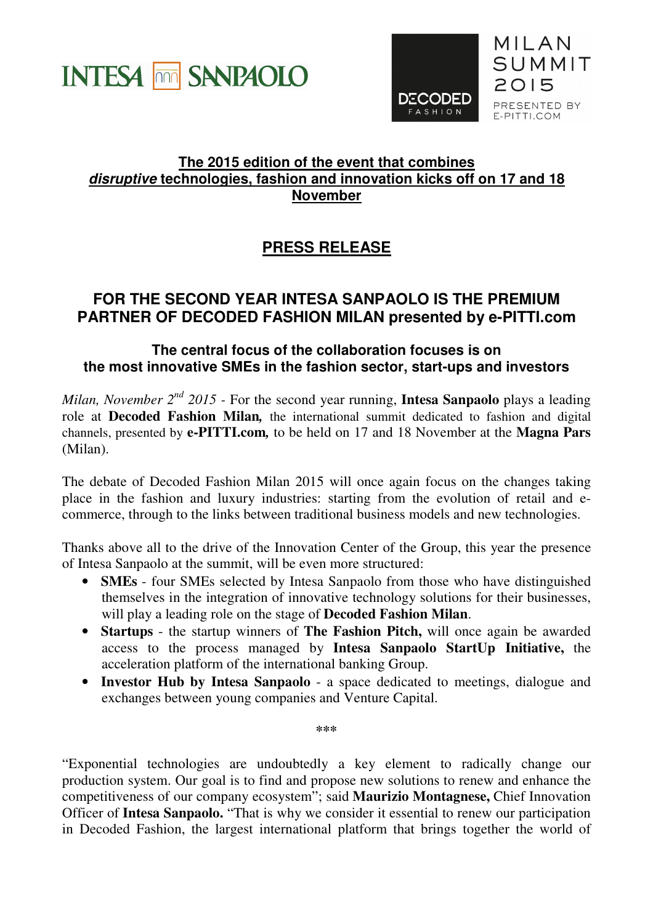



## **The 2015 edition of the event that combines disruptive technologies, fashion and innovation kicks off on 17 and 18 November**

## **PRESS RELEASE**

## **FOR THE SECOND YEAR INTESA SANPAOLO IS THE PREMIUM PARTNER OF DECODED FASHION MILAN presented by e-PITTI.com**

## **The central focus of the collaboration focuses is on the most innovative SMEs in the fashion sector, start-ups and investors**

*Milan, November 2nd 2015 -* For the second year running, **Intesa Sanpaolo** plays a leading role at **Decoded Fashion Milan***,* the international summit dedicated to fashion and digital channels, presented by **e-PITTI.com***,* to be held on 17 and 18 November at the **Magna Pars** (Milan).

The debate of Decoded Fashion Milan 2015 will once again focus on the changes taking place in the fashion and luxury industries: starting from the evolution of retail and ecommerce, through to the links between traditional business models and new technologies.

Thanks above all to the drive of the Innovation Center of the Group, this year the presence of Intesa Sanpaolo at the summit, will be even more structured:

- **SMEs** four SMEs selected by Intesa Sanpaolo from those who have distinguished themselves in the integration of innovative technology solutions for their businesses, will play a leading role on the stage of **Decoded Fashion Milan**.
- **Startups** the startup winners of **The Fashion Pitch,** will once again be awarded access to the process managed by **Intesa Sanpaolo StartUp Initiative,** the acceleration platform of the international banking Group.
- **Investor Hub by Intesa Sanpaolo** a space dedicated to meetings, dialogue and exchanges between young companies and Venture Capital.

**\*\*\*** 

"Exponential technologies are undoubtedly a key element to radically change our production system. Our goal is to find and propose new solutions to renew and enhance the competitiveness of our company ecosystem"; said **Maurizio Montagnese,** Chief Innovation Officer of **Intesa Sanpaolo.** "That is why we consider it essential to renew our participation in Decoded Fashion, the largest international platform that brings together the world of